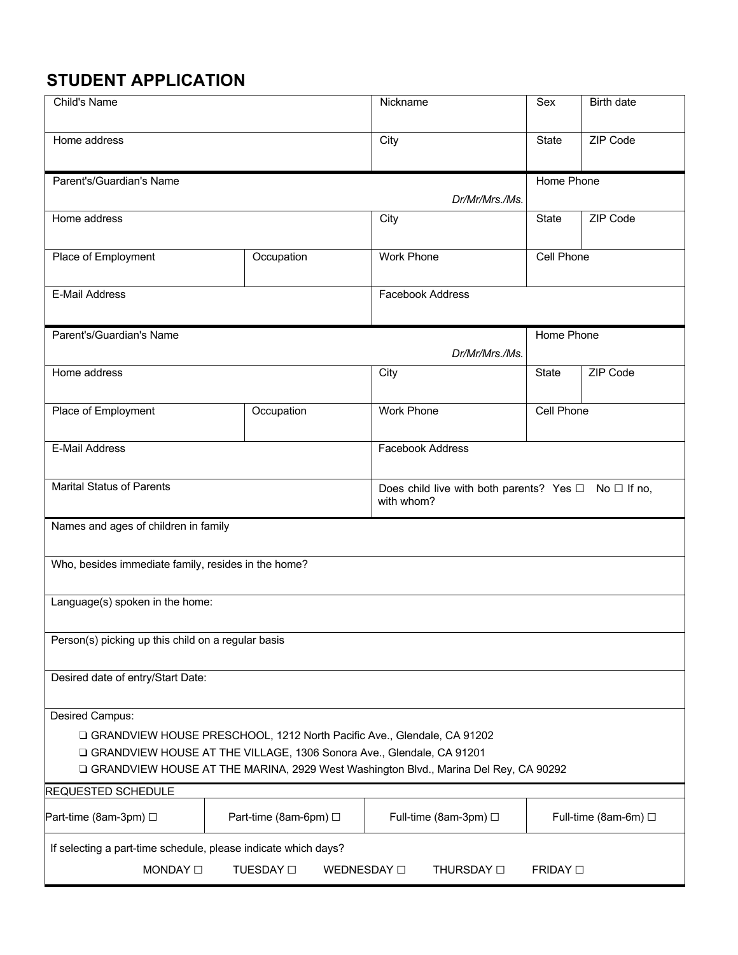| Child's Name                                                             |                                            | Nickname                                                                              | Sex                 | <b>Birth date</b>    |
|--------------------------------------------------------------------------|--------------------------------------------|---------------------------------------------------------------------------------------|---------------------|----------------------|
| Home address                                                             |                                            | City                                                                                  | State               | ZIP Code             |
|                                                                          |                                            |                                                                                       |                     |                      |
| Parent's/Guardian's Name                                                 |                                            |                                                                                       | Home Phone          |                      |
|                                                                          |                                            | Dr/Mr/Mrs./Ms.                                                                        |                     |                      |
| Home address                                                             |                                            | City                                                                                  | State               | ZIP Code             |
| Place of Employment                                                      | Occupation                                 | <b>Work Phone</b>                                                                     | Cell Phone          |                      |
| E-Mail Address                                                           |                                            | Facebook Address                                                                      |                     |                      |
| Parent's/Guardian's Name                                                 |                                            |                                                                                       | Home Phone          |                      |
|                                                                          |                                            | Dr/Mr/Mrs./Ms.                                                                        |                     |                      |
| Home address                                                             |                                            | City                                                                                  | <b>State</b>        | ZIP Code             |
| Place of Employment                                                      | Occupation                                 | <b>Work Phone</b>                                                                     | Cell Phone          |                      |
| E-Mail Address                                                           |                                            | Facebook Address                                                                      |                     |                      |
| <b>Marital Status of Parents</b>                                         |                                            | Does child live with both parents? Yes $\Box$ No $\Box$ If no,<br>with whom?          |                     |                      |
| Names and ages of children in family                                     |                                            |                                                                                       |                     |                      |
| Who, besides immediate family, resides in the home?                      |                                            |                                                                                       |                     |                      |
| Language(s) spoken in the home:                                          |                                            |                                                                                       |                     |                      |
| Person(s) picking up this child on a regular basis                       |                                            |                                                                                       |                     |                      |
| Desired date of entry/Start Date:                                        |                                            |                                                                                       |                     |                      |
| Desired Campus:                                                          |                                            |                                                                                       |                     |                      |
| □ GRANDVIEW HOUSE PRESCHOOL, 1212 North Pacific Ave., Glendale, CA 91202 |                                            |                                                                                       |                     |                      |
| GRANDVIEW HOUSE AT THE VILLAGE, 1306 Sonora Ave., Glendale, CA 91201     |                                            |                                                                                       |                     |                      |
|                                                                          |                                            | □ GRANDVIEW HOUSE AT THE MARINA, 2929 West Washington Blvd., Marina Del Rey, CA 90292 |                     |                      |
| <b>REQUESTED SCHEDULE</b>                                                |                                            |                                                                                       |                     |                      |
| Part-time (8am-3pm) □                                                    | Part-time (8am-6pm) □                      | Full-time (8am-3pm) □                                                                 |                     | Full-time (8am-6m) □ |
| If selecting a part-time schedule, please indicate which days?           |                                            |                                                                                       |                     |                      |
| MONDAY <sub>[1]</sub>                                                    | TUESDAY <sub>[1]</sub><br>WEDNESDAY $\Box$ | THURSDAY O                                                                            | FRIDAY <sub>D</sub> |                      |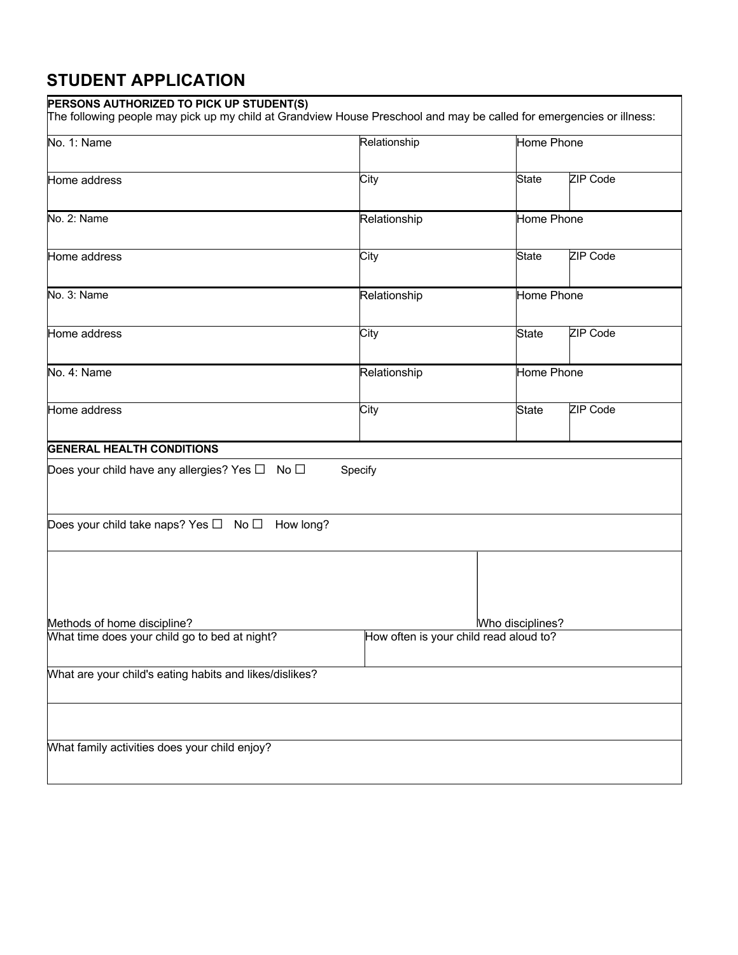#### **PERSONS AUTHORIZED TO PICK UP STUDENT(S)**

The following people may pick up my child at Grandview House Preschool and may be called for emergencies or illness:

| No. 1: Name                                                    | Relationship                           | Home Phone       |            |  |
|----------------------------------------------------------------|----------------------------------------|------------------|------------|--|
| Home address                                                   | City                                   | <b>State</b>     | ZIP Code   |  |
|                                                                |                                        |                  |            |  |
| No. 2: Name                                                    | Relationship                           | Home Phone       |            |  |
|                                                                | City                                   | <b>State</b>     | ZIP Code   |  |
| Home address                                                   |                                        |                  |            |  |
| No. 3: Name                                                    | Home Phone<br>Relationship             |                  |            |  |
| Home address                                                   | City                                   | <b>State</b>     | ZIP Code   |  |
| No. 4: Name                                                    | Relationship                           |                  | Home Phone |  |
| Home address                                                   | City                                   | <b>State</b>     | ZIP Code   |  |
| <b>GENERAL HEALTH CONDITIONS</b>                               |                                        |                  |            |  |
| Does your child have any allergies? Yes $\square$ No $\square$ | Specify                                |                  |            |  |
| Does your child take naps? Yes $\Box$ No $\Box$ How long?      |                                        |                  |            |  |
|                                                                |                                        |                  |            |  |
|                                                                |                                        |                  |            |  |
|                                                                |                                        |                  |            |  |
| Methods of home discipline?                                    |                                        | Who disciplines? |            |  |
| What time does your child go to bed at night?                  | How often is your child read aloud to? |                  |            |  |
| What are your child's eating habits and likes/dislikes?        |                                        |                  |            |  |
|                                                                |                                        |                  |            |  |
| What family activities does your child enjoy?                  |                                        |                  |            |  |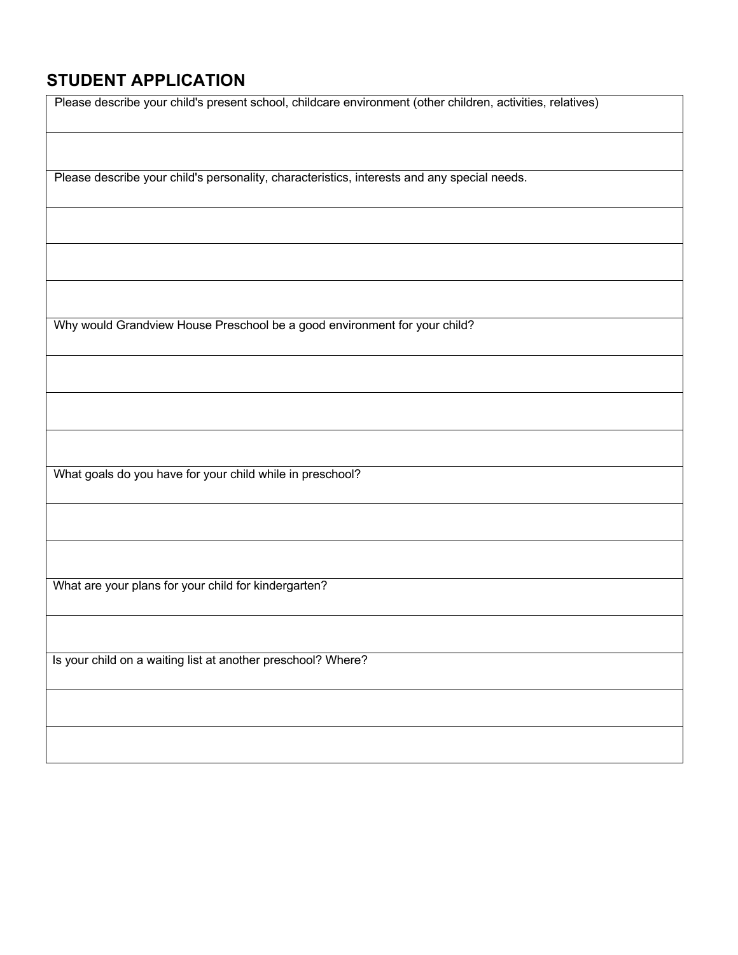| Please describe your child's present school, childcare environment (other children, activities, relatives) |
|------------------------------------------------------------------------------------------------------------|
|                                                                                                            |
| Please describe your child's personality, characteristics, interests and any special needs.                |
|                                                                                                            |
|                                                                                                            |
|                                                                                                            |
| Why would Grandview House Preschool be a good environment for your child?                                  |
|                                                                                                            |
|                                                                                                            |
|                                                                                                            |
| What goals do you have for your child while in preschool?                                                  |
|                                                                                                            |
|                                                                                                            |
| What are your plans for your child for kindergarten?                                                       |
|                                                                                                            |
| Is your child on a waiting list at another preschool? Where?                                               |
|                                                                                                            |
|                                                                                                            |